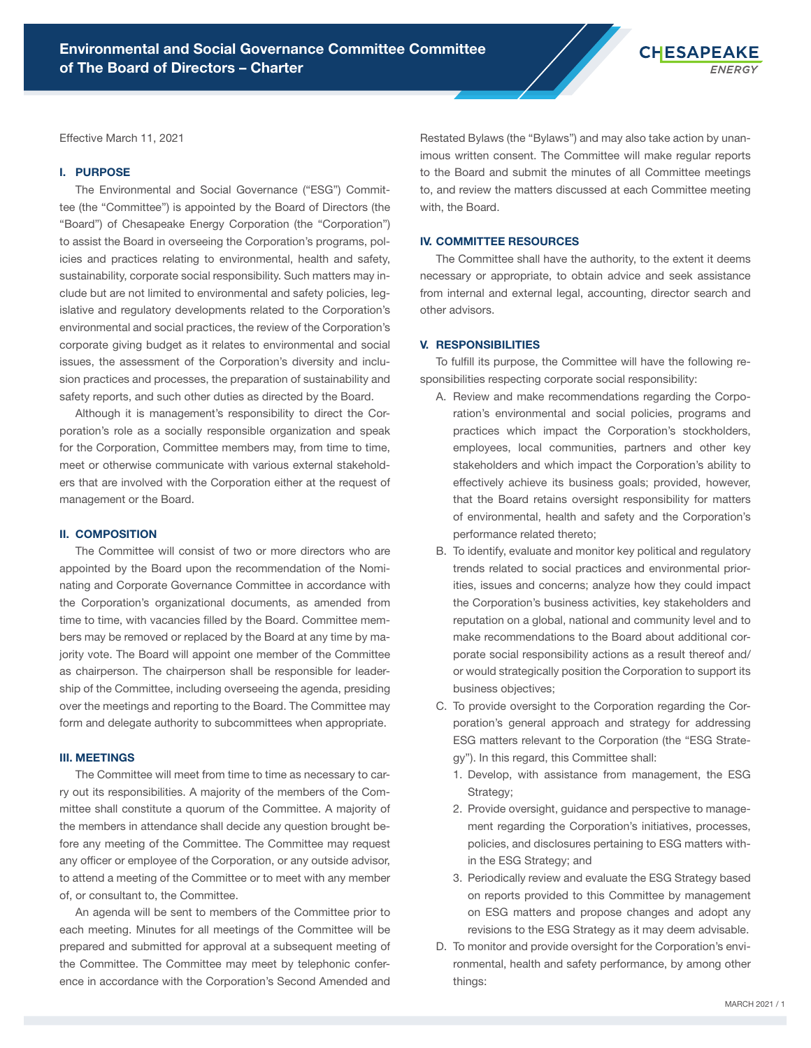

Effective March 11, 2021

#### I. PURPOSE

The Environmental and Social Governance ("ESG") Committee (the "Committee") is appointed by the Board of Directors (the "Board") of Chesapeake Energy Corporation (the "Corporation") to assist the Board in overseeing the Corporation's programs, policies and practices relating to environmental, health and safety, sustainability, corporate social responsibility. Such matters may include but are not limited to environmental and safety policies, legislative and regulatory developments related to the Corporation's environmental and social practices, the review of the Corporation's corporate giving budget as it relates to environmental and social issues, the assessment of the Corporation's diversity and inclusion practices and processes, the preparation of sustainability and safety reports, and such other duties as directed by the Board.

Although it is management's responsibility to direct the Corporation's role as a socially responsible organization and speak for the Corporation, Committee members may, from time to time, meet or otherwise communicate with various external stakeholders that are involved with the Corporation either at the request of management or the Board.

## II. COMPOSITION

The Committee will consist of two or more directors who are appointed by the Board upon the recommendation of the Nominating and Corporate Governance Committee in accordance with the Corporation's organizational documents, as amended from time to time, with vacancies filled by the Board. Committee members may be removed or replaced by the Board at any time by majority vote. The Board will appoint one member of the Committee as chairperson. The chairperson shall be responsible for leadership of the Committee, including overseeing the agenda, presiding over the meetings and reporting to the Board. The Committee may form and delegate authority to subcommittees when appropriate.

## III. MEETINGS

The Committee will meet from time to time as necessary to carry out its responsibilities. A majority of the members of the Committee shall constitute a quorum of the Committee. A majority of the members in attendance shall decide any question brought before any meeting of the Committee. The Committee may request any officer or employee of the Corporation, or any outside advisor, to attend a meeting of the Committee or to meet with any member of, or consultant to, the Committee.

An agenda will be sent to members of the Committee prior to each meeting. Minutes for all meetings of the Committee will be prepared and submitted for approval at a subsequent meeting of the Committee. The Committee may meet by telephonic conference in accordance with the Corporation's Second Amended and

Restated Bylaws (the "Bylaws") and may also take action by unanimous written consent. The Committee will make regular reports to the Board and submit the minutes of all Committee meetings to, and review the matters discussed at each Committee meeting with, the Board.

## IV. COMMITTEE RESOURCES

The Committee shall have the authority, to the extent it deems necessary or appropriate, to obtain advice and seek assistance from internal and external legal, accounting, director search and other advisors.

#### V. RESPONSIBILITIES

To fulfill its purpose, the Committee will have the following responsibilities respecting corporate social responsibility:

- A. Review and make recommendations regarding the Corporation's environmental and social policies, programs and practices which impact the Corporation's stockholders, employees, local communities, partners and other key stakeholders and which impact the Corporation's ability to effectively achieve its business goals; provided, however, that the Board retains oversight responsibility for matters of environmental, health and safety and the Corporation's performance related thereto;
- B. To identify, evaluate and monitor key political and regulatory trends related to social practices and environmental priorities, issues and concerns; analyze how they could impact the Corporation's business activities, key stakeholders and reputation on a global, national and community level and to make recommendations to the Board about additional corporate social responsibility actions as a result thereof and/ or would strategically position the Corporation to support its business objectives;
- C. To provide oversight to the Corporation regarding the Corporation's general approach and strategy for addressing ESG matters relevant to the Corporation (the "ESG Strategy"). In this regard, this Committee shall:
	- 1. Develop, with assistance from management, the ESG Strategy;
	- 2. Provide oversight, guidance and perspective to management regarding the Corporation's initiatives, processes, policies, and disclosures pertaining to ESG matters within the ESG Strategy; and
	- 3. Periodically review and evaluate the ESG Strategy based on reports provided to this Committee by management on ESG matters and propose changes and adopt any revisions to the ESG Strategy as it may deem advisable.
- D. To monitor and provide oversight for the Corporation's environmental, health and safety performance, by among other things: